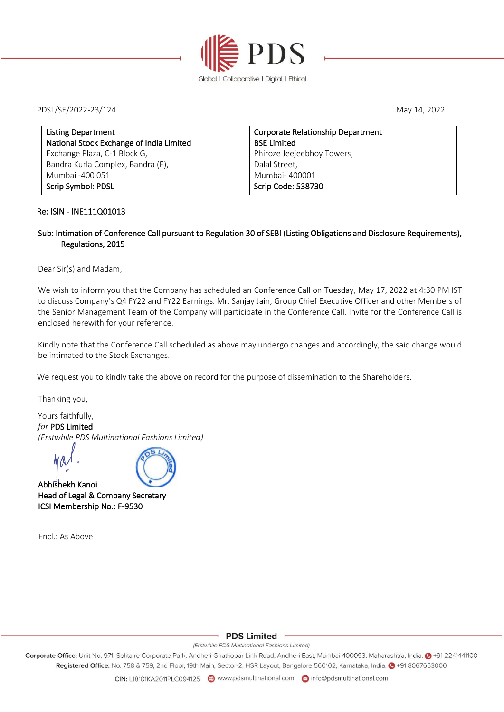

PDSL/SE/2022-23/124 May 14, 2022

| Corporate Relationship Department |
|-----------------------------------|
| <b>BSE Limited</b>                |
| Phiroze Jeejeebhoy Towers,        |
| Dalal Street,                     |
| Mumbai- 400001                    |
| Scrip Code: 538730                |
|                                   |

### Re: ISIN - INE111Q01013

### Sub: Intimation of Conference Call pursuant to Regulation 30 of SEBI (Listing Obligations and Disclosure Requirements), Regulations, 2015

Dear Sir(s) and Madam,

We wish to inform you that the Company has scheduled an Conference Call on Tuesday, May 17, 2022 at 4:30 PM IST to discuss Company's Q4 FY22 and FY22 Earnings. Mr. Sanjay Jain, Group Chief Executive Officer and other Members of the Senior Management Team of the Company will participate in the Conference Call. Invite for the Conference Call is enclosed herewith for your reference.

Kindly note that the Conference Call scheduled as above may undergo changes and accordingly, the said change would be intimated to the Stock Exchanges.

We request you to kindly take the above on record for the purpose of dissemination to the Shareholders.

Thanking you,

Yours faithfully, *for* PDS Limited *(Erstwhile PDS Multinational Fashions Limited)*

and a land is a large to the same in the same in the same in the same in the same in the same in the same in the same in the same in the same in the same in the same in the same in the same in the same in the same in the s Head of Legal & Company Secretary ICSI Membership No.: F-9530

Encl.: As Above



**PDS Limited** 

(Erstwhile PDS Multinational Fashions Limited)

Corporate Office: Unit No. 971, Solitaire Corporate Park, Andheri Ghatkopar Link Road, Andheri East, Mumbai 400093, Maharashtra, India. @ +91 2241441100 Registered Office: No. 758 & 759, 2nd Floor, 19th Main, Sector-2, HSR Layout, Bangalore 560102, Karnataka, India. @ +91 8067653000